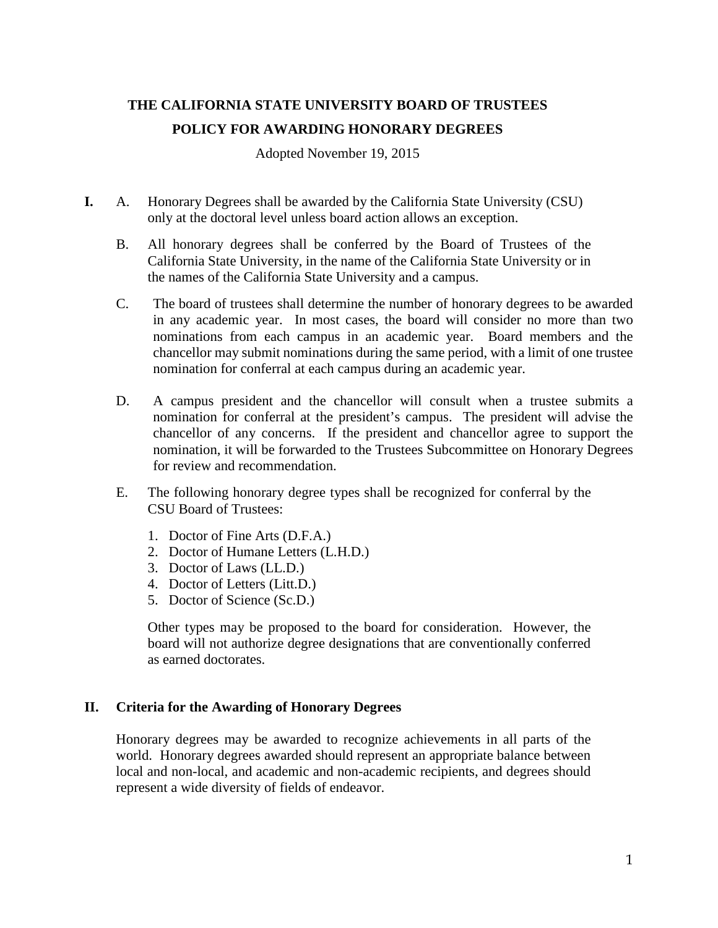# **THE CALIFORNIA STATE UNIVERSITY BOARD OF TRUSTEES POLICY FOR AWARDING HONORARY DEGREES**

Adopted November 19, 2015

- **I.** A. Honorary Degrees shall be awarded by the California State University (CSU) only at the doctoral level unless board action allows an exception.
	- B. All honorary degrees shall be conferred by the Board of Trustees of the California State University, in the name of the California State University or in the names of the California State University and a campus.
	- C. The board of trustees shall determine the number of honorary degrees to be awarded in any academic year. In most cases, the board will consider no more than two nominations from each campus in an academic year. Board members and the chancellor may submit nominations during the same period, with a limit of one trustee nomination for conferral at each campus during an academic year.
	- D. A campus president and the chancellor will consult when a trustee submits a nomination for conferral at the president's campus. The president will advise the chancellor of any concerns. If the president and chancellor agree to support the nomination, it will be forwarded to the Trustees Subcommittee on Honorary Degrees for review and recommendation.
	- E. The following honorary degree types shall be recognized for conferral by the CSU Board of Trustees:
		- 1. Doctor of Fine Arts (D.F.A.)
		- 2. Doctor of Humane Letters (L.H.D.)
		- 3. Doctor of Laws (LL.D.)
		- 4. Doctor of Letters (Litt.D.)
		- 5. Doctor of Science (Sc.D.)

Other types may be proposed to the board for consideration. However, the board will not authorize degree designations that are conventionally conferred as earned doctorates.

### **II. Criteria for the Awarding of Honorary Degrees**

Honorary degrees may be awarded to recognize achievements in all parts of the world. Honorary degrees awarded should represent an appropriate balance between local and non-local, and academic and non-academic recipients, and degrees should represent a wide diversity of fields of endeavor.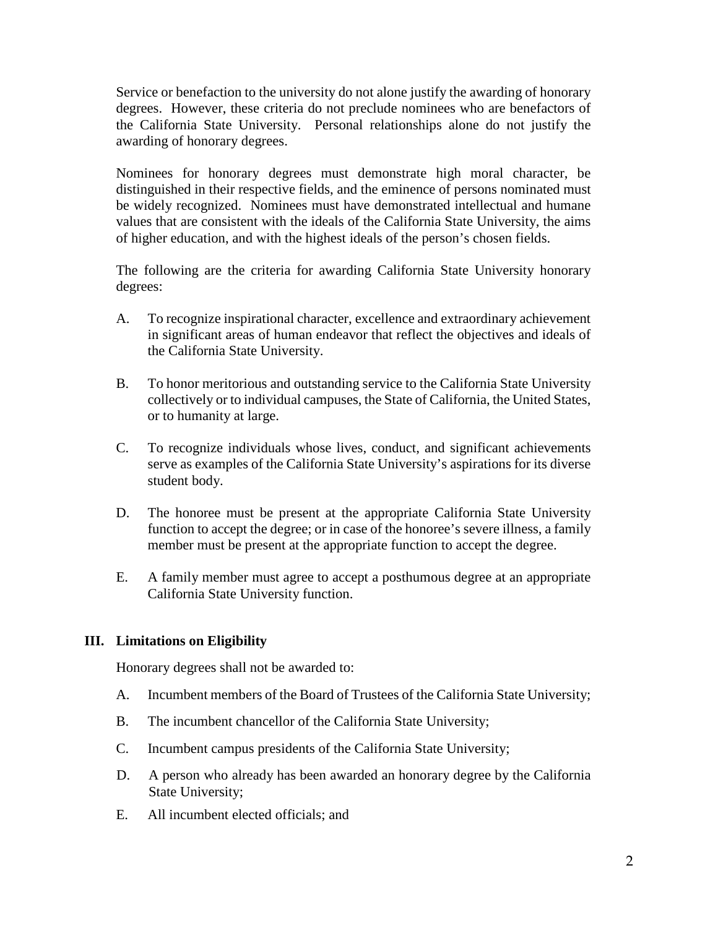Service or benefaction to the university do not alone justify the awarding of honorary degrees. However, these criteria do not preclude nominees who are benefactors of the California State University. Personal relationships alone do not justify the awarding of honorary degrees.

Nominees for honorary degrees must demonstrate high moral character, be distinguished in their respective fields, and the eminence of persons nominated must be widely recognized. Nominees must have demonstrated intellectual and humane values that are consistent with the ideals of the California State University, the aims of higher education, and with the highest ideals of the person's chosen fields.

The following are the criteria for awarding California State University honorary degrees:

- A. To recognize inspirational character, excellence and extraordinary achievement in significant areas of human endeavor that reflect the objectives and ideals of the California State University.
- B. To honor meritorious and outstanding service to the California State University collectively or to individual campuses, the State of California, the United States, or to humanity at large.
- C. To recognize individuals whose lives, conduct, and significant achievements serve as examples of the California State University's aspirations for its diverse student body.
- D. The honoree must be present at the appropriate California State University function to accept the degree; or in case of the honoree's severe illness, a family member must be present at the appropriate function to accept the degree.
- E. A family member must agree to accept a posthumous degree at an appropriate California State University function.

## **III. Limitations on Eligibility**

Honorary degrees shall not be awarded to:

- A. Incumbent members of the Board of Trustees of the California State University;
- B. The incumbent chancellor of the California State University;
- C. Incumbent campus presidents of the California State University;
- D. A person who already has been awarded an honorary degree by the California State University;
- E. All incumbent elected officials; and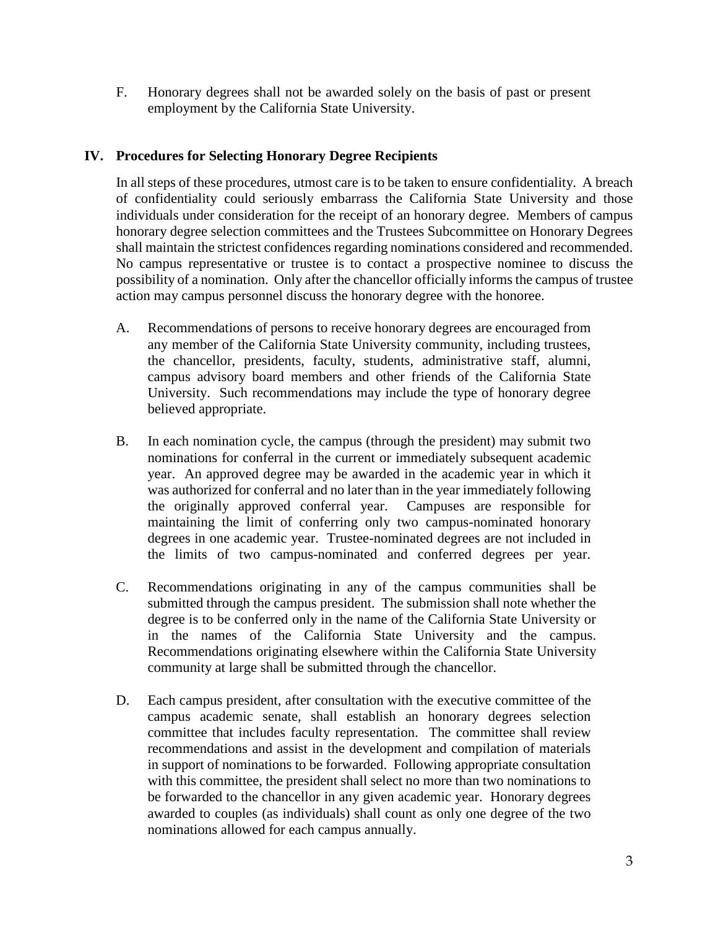F. Honorary degrees shall not be awarded solely on the basis of past or present employment by the California State University.

## **IV. Procedures for Selecting Honorary Degree Recipients**

In all steps of these procedures, utmost care is to be taken to ensure confidentiality. A breach of confidentiality could seriously embarrass the California State University and those individuals under consideration for the receipt of an honorary degree. Members of campus honorary degree selection committees and the Trustees Subcommittee on Honorary Degrees shall maintain the strictest confidences regarding nominations considered and recommended. No campus representative or trustee is to contact a prospective nominee to discuss the possibility of a nomination. Only after the chancellor officially informs the campus of trustee action may campus personnel discuss the honorary degree with the honoree.

- A. Recommendations of persons to receive honorary degrees are encouraged from any member of the California State University community, including trustees, the chancellor, presidents, faculty, students, administrative staff, alumni, campus advisory board members and other friends of the California State University. Such recommendations may include the type of honorary degree believed appropriate.
- B. In each nomination cycle, the campus (through the president) may submit two nominations for conferral in the current or immediately subsequent academic year. An approved degree may be awarded in the academic year in which it was authorized for conferral and no later than in the year immediately following the originally approved conferral year. Campuses are responsible for maintaining the limit of conferring only two campus-nominated honorary degrees in one academic year. Trustee-nominated degrees are not included in the limits of two campus-nominated and conferred degrees per year.
- C. Recommendations originating in any of the campus communities shall be submitted through the campus president. The submission shall note whether the degree is to be conferred only in the name of the California State University or in the names of the California State University and the campus. Recommendations originating elsewhere within the California State University community at large shall be submitted through the chancellor.
- D. Each campus president, after consultation with the executive committee of the campus academic senate, shall establish an honorary degrees selection committee that includes faculty representation. The committee shall review recommendations and assist in the development and compilation of materials in support of nominations to be forwarded. Following appropriate consultation with this committee, the president shall select no more than two nominations to be forwarded to the chancellor in any given academic year. Honorary degrees awarded to couples (as individuals) shall count as only one degree of the two nominations allowed for each campus annually.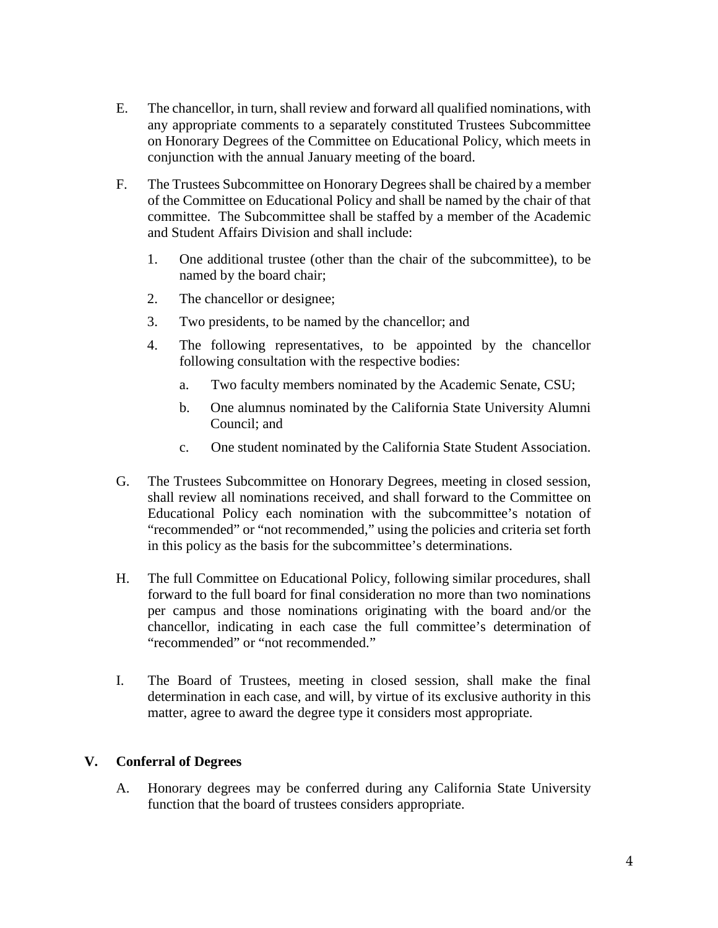- E. The chancellor, in turn, shall review and forward all qualified nominations, with any appropriate comments to a separately constituted Trustees Subcommittee on Honorary Degrees of the Committee on Educational Policy, which meets in conjunction with the annual January meeting of the board.
- F. The Trustees Subcommittee on Honorary Degrees shall be chaired by a member of the Committee on Educational Policy and shall be named by the chair of that committee. The Subcommittee shall be staffed by a member of the Academic and Student Affairs Division and shall include:
	- 1. One additional trustee (other than the chair of the subcommittee), to be named by the board chair;
	- 2. The chancellor or designee;
	- 3. Two presidents, to be named by the chancellor; and
	- 4. The following representatives, to be appointed by the chancellor following consultation with the respective bodies:
		- a. Two faculty members nominated by the Academic Senate, CSU;
		- b. One alumnus nominated by the California State University Alumni Council; and
		- c. One student nominated by the California State Student Association.
- G. The Trustees Subcommittee on Honorary Degrees, meeting in closed session, shall review all nominations received, and shall forward to the Committee on Educational Policy each nomination with the subcommittee's notation of "recommended" or "not recommended," using the policies and criteria set forth in this policy as the basis for the subcommittee's determinations.
- H. The full Committee on Educational Policy, following similar procedures, shall forward to the full board for final consideration no more than two nominations per campus and those nominations originating with the board and/or the chancellor, indicating in each case the full committee's determination of "recommended" or "not recommended."
- I. The Board of Trustees, meeting in closed session, shall make the final determination in each case, and will, by virtue of its exclusive authority in this matter, agree to award the degree type it considers most appropriate.

## **V. Conferral of Degrees**

A. Honorary degrees may be conferred during any California State University function that the board of trustees considers appropriate.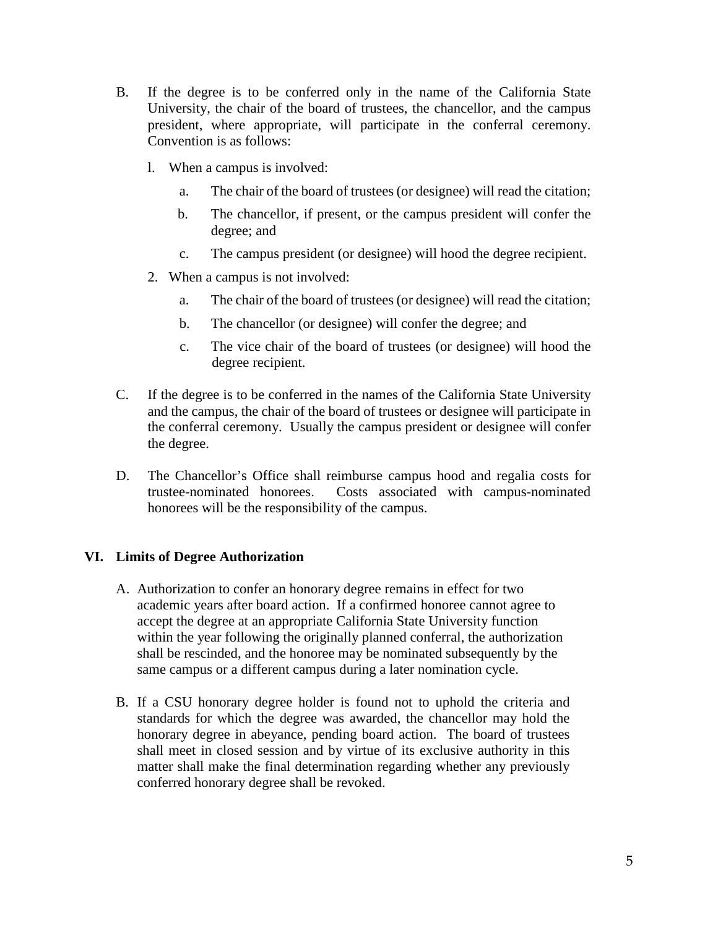- B. If the degree is to be conferred only in the name of the California State University, the chair of the board of trustees, the chancellor, and the campus president, where appropriate, will participate in the conferral ceremony. Convention is as follows:
	- l. When a campus is involved:
		- a. The chair of the board of trustees (or designee) will read the citation;
		- b. The chancellor, if present, or the campus president will confer the degree; and
		- c. The campus president (or designee) will hood the degree recipient.
	- 2. When a campus is not involved:
		- a. The chair of the board of trustees (or designee) will read the citation;
		- b. The chancellor (or designee) will confer the degree; and
		- c. The vice chair of the board of trustees (or designee) will hood the degree recipient.
- C. If the degree is to be conferred in the names of the California State University and the campus, the chair of the board of trustees or designee will participate in the conferral ceremony. Usually the campus president or designee will confer the degree.
- D. The Chancellor's Office shall reimburse campus hood and regalia costs for trustee-nominated honorees. Costs associated with campus-nominated honorees will be the responsibility of the campus.

### **VI. Limits of Degree Authorization**

- A. Authorization to confer an honorary degree remains in effect for two academic years after board action. If a confirmed honoree cannot agree to accept the degree at an appropriate California State University function within the year following the originally planned conferral, the authorization shall be rescinded, and the honoree may be nominated subsequently by the same campus or a different campus during a later nomination cycle.
- B. If a CSU honorary degree holder is found not to uphold the criteria and standards for which the degree was awarded, the chancellor may hold the honorary degree in abeyance, pending board action. The board of trustees shall meet in closed session and by virtue of its exclusive authority in this matter shall make the final determination regarding whether any previously conferred honorary degree shall be revoked.